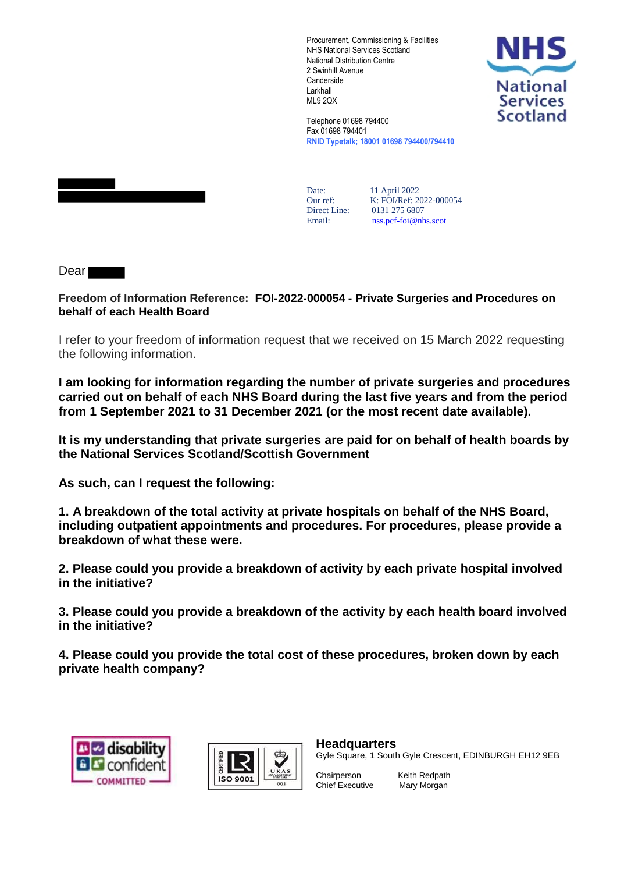Procurement, Commissioning & Facilities NHS National Services Scotland National Distribution Centre 2 Swinhill Avenue **Canderside** Larkhall ML9 2QX



Telephone 01698 794400 Fax 01698 794401 **RNID Typetalk; 18001 01698 794400/794410**

Date: 11 April 2022<br>Our ref: K: FOI/Ref: 20 Our ref: K: FOI/Ref: 2022-000054<br>Direct Line: 0131 275 6807 Direct Line: 0131 275 6807<br>Email: nss.pcf-foi@nh [nss.pcf-foi@nhs.scot](mailto:nss.pcf-foi@nhs.scot)

Dear

**Freedom of Information Reference: FOI-2022-000054 - Private Surgeries and Procedures on behalf of each Health Board**

I refer to your freedom of information request that we received on 15 March 2022 requesting the following information.

**I am looking for information regarding the number of private surgeries and procedures carried out on behalf of each NHS Board during the last five years and from the period from 1 September 2021 to 31 December 2021 (or the most recent date available).**

**It is my understanding that private surgeries are paid for on behalf of health boards by the National Services Scotland/Scottish Government** 

**As such, can I request the following:**

**1. A breakdown of the total activity at private hospitals on behalf of the NHS Board, including outpatient appointments and procedures. For procedures, please provide a breakdown of what these were.**

**2. Please could you provide a breakdown of activity by each private hospital involved in the initiative?**

**3. Please could you provide a breakdown of the activity by each health board involved in the initiative?**

**4. Please could you provide the total cost of these procedures, broken down by each private health company?**





**Headquarters** Gyle Square, 1 South Gyle Crescent, EDINBURGH EH12 9EB

Chief Executive Mary Morgan

Chairperson Keith Redpath